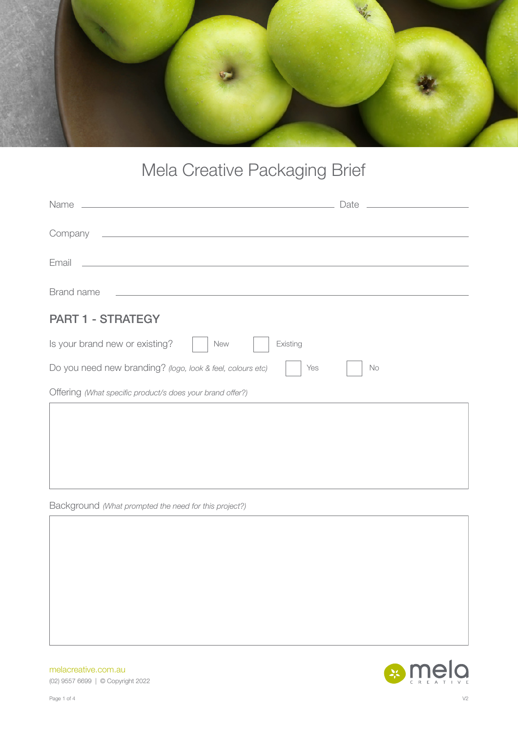

## Mela Creative Packaging Brief

| Name                                                                                                                          | Date      |
|-------------------------------------------------------------------------------------------------------------------------------|-----------|
| Company<br><u> 1989 - Johann Barn, fransk politik (d. 1989)</u>                                                               |           |
| Email<br><u> Alexandria de la contrada de la contrada de la contrada de la contrada de la contrada de la contrada de la c</u> |           |
| Brand name                                                                                                                    |           |
| <b>PART 1 - STRATEGY</b>                                                                                                      |           |
| Is your brand new or existing?<br>Existing<br><b>New</b>                                                                      |           |
| Do you need new branding? (logo, look & feel, colours etc)<br>Yes                                                             | <b>No</b> |
| Offering (What specific product/s does your brand offer?)                                                                     |           |
|                                                                                                                               |           |
|                                                                                                                               |           |
|                                                                                                                               |           |

Background *(What prompted the need for this project?)*

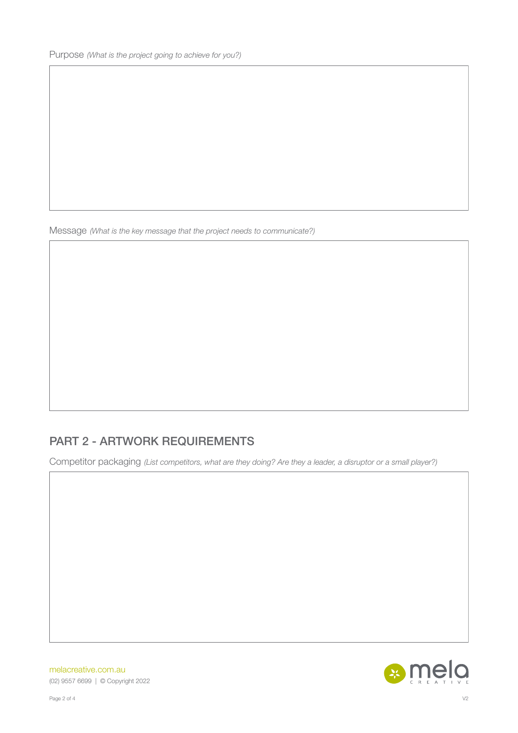Message *(What is the key message that the project needs to communicate?)*

## PART 2 - ARTWORK REQUIREMENTS

Competitor packaging *(List competitors, what are they doing? Are they a leader, a disruptor or a small player?)*

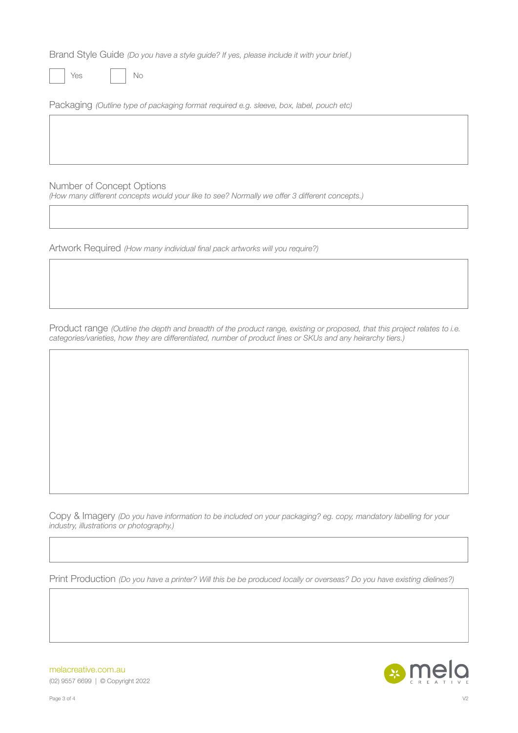Brand Style Guide *(Do you have a style guide? If yes, please include it with your brief.)*

Yes No

Packaging *(Outline type of packaging format required e.g. sleeve, box, label, pouch etc)*

Number of Concept Options

*(How many different concepts would your like to see? Normally we offer 3 different concepts.)*

Artwork Required *(How many individual final pack artworks will you require?)*

Product range *(Outline the depth and breadth of the product range, existing or proposed, that this project relates to i.e. categories/varieties, how they are differentiated, number of product lines or SKUs and any heirarchy tiers.)*

Copy & Imagery *(Do you have information to be included on your packaging? eg. copy, mandatory labelling for your industry, illustrations or photography.)*

Print Production *(Do you have a printer? Will this be be produced locally or overseas? Do you have existing dielines?)*